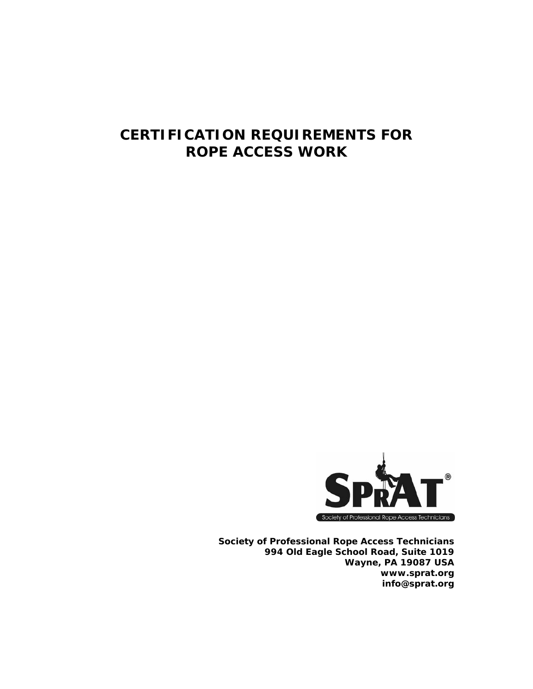# **CERTIFICATION REQUIREMENTS FOR ROPE ACCESS WORK**



**Society of Professional Rope Access Technicians 994 Old Eagle School Road, Suite 1019 Wayne, PA 19087 USA www.sprat.org info@sprat.org**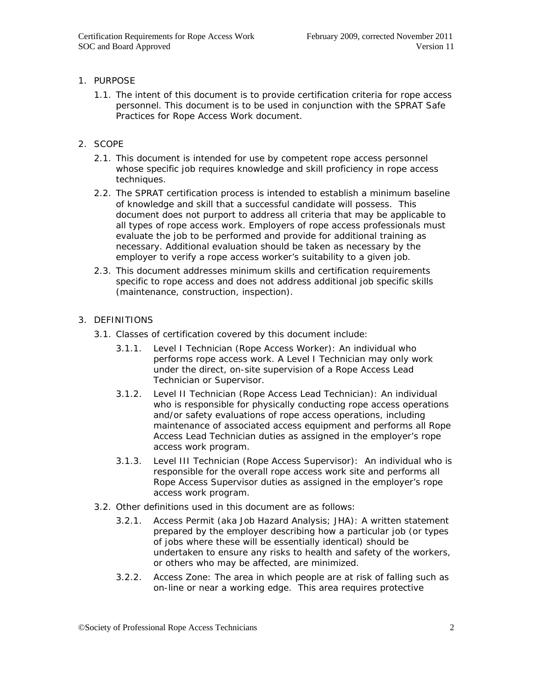# 1. PURPOSE

1.1. The intent of this document is to provide certification criteria for rope access personnel. This document is to be used in conjunction with the SPRAT *Safe Practices for Rope Access Work* document.

# 2. SCOPE

- 2.1. This document is intended for use by competent rope access personnel whose specific job requires knowledge and skill proficiency in rope access techniques.
- 2.2. The SPRAT certification process is intended to establish a minimum baseline of knowledge and skill that a successful candidate will possess. This document does not purport to address all criteria that may be applicable to all types of rope access work. Employers of rope access professionals must evaluate the job to be performed and provide for additional training as necessary. Additional evaluation should be taken as necessary by the employer to verify a rope access worker's suitability to a given job.
- 2.3. This document addresses minimum skills and certification requirements specific to rope access and does not address additional job specific skills (maintenance, construction, inspection).

### 3. DEFINITIONS

- 3.1. Classes of certification covered by this document include:
	- 3.1.1. Level I Technician (Rope Access Worker): An individual who performs rope access work. A Level I Technician may only work under the direct, on-site supervision of a Rope Access Lead Technician or Supervisor.
	- 3.1.2. Level II Technician (Rope Access Lead Technician): An individual who is responsible for physically conducting rope access operations and/or safety evaluations of rope access operations, including maintenance of associated access equipment and performs all Rope Access Lead Technician duties as assigned in the employer's rope access work program.
	- 3.1.3. Level III Technician (Rope Access Supervisor): An individual who is responsible for the overall rope access work site and performs all Rope Access Supervisor duties as assigned in the employer's rope access work program.
- 3.2. Other definitions used in this document are as follows:
	- 3.2.1. Access Permit (aka Job Hazard Analysis; JHA): A written statement prepared by the employer describing how a particular job (or types of jobs where these will be essentially identical) should be undertaken to ensure any risks to health and safety of the workers, or others who may be affected, are minimized.
	- 3.2.2. Access Zone: The area in which people are at risk of falling such as on-line or near a working edge. This area requires protective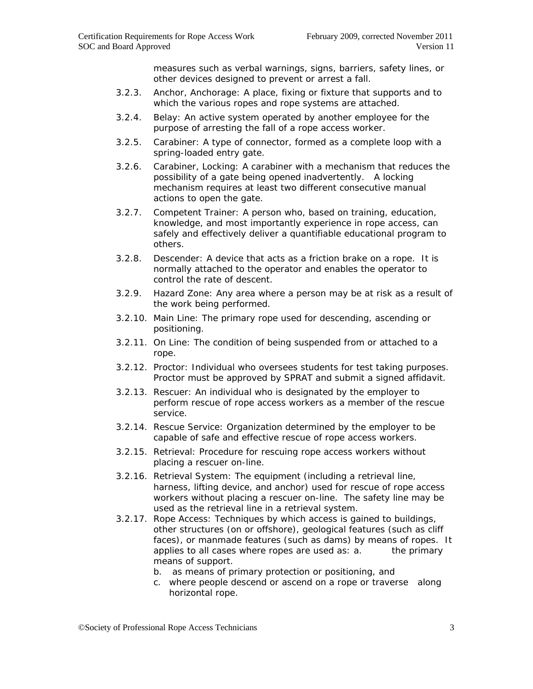measures such as verbal warnings, signs, barriers, safety lines, or other devices designed to prevent or arrest a fall.

- 3.2.3. Anchor, Anchorage: A place, fixing or fixture that supports and to which the various ropes and rope systems are attached.
- 3.2.4. Belay: An active system operated by another employee for the purpose of arresting the fall of a rope access worker.
- 3.2.5. Carabiner: A type of connector, formed as a complete loop with a spring-loaded entry gate.
- 3.2.6. Carabiner, Locking: A carabiner with a mechanism that reduces the possibility of a gate being opened inadvertently. A locking mechanism requires at least two different consecutive manual actions to open the gate.
- 3.2.7. Competent Trainer: A person who, based on training, education, knowledge, and most importantly experience in rope access, can safely and effectively deliver a quantifiable educational program to others.
- 3.2.8. Descender: A device that acts as a friction brake on a rope. It is normally attached to the operator and enables the operator to control the rate of descent.
- 3.2.9. Hazard Zone: Any area where a person may be at risk as a result of the work being performed.
- 3.2.10. Main Line: The primary rope used for descending, ascending or positioning.
- 3.2.11. On Line: The condition of being suspended from or attached to a rope.
- 3.2.12. Proctor: Individual who oversees students for test taking purposes. Proctor must be approved by SPRAT and submit a signed affidavit.
- 3.2.13. Rescuer: An individual who is designated by the employer to perform rescue of rope access workers as a member of the rescue service.
- 3.2.14. Rescue Service: Organization determined by the employer to be capable of safe and effective rescue of rope access workers.
- 3.2.15. Retrieval: Procedure for rescuing rope access workers without placing a rescuer on-line.
- 3.2.16. Retrieval System: The equipment (including a retrieval line, harness, lifting device, and anchor) used for rescue of rope access workers without placing a rescuer on-line. The safety line may be used as the retrieval line in a retrieval system.
- 3.2.17. Rope Access: Techniques by which access is gained to buildings, other structures (on or offshore), geological features (such as cliff faces), or manmade features (such as dams) by means of ropes. It applies to all cases where ropes are used as: a. the primary means of support.
	- b. as means of primary protection or positioning, and
	- c. where people descend or ascend on a rope or traverse along horizontal rope.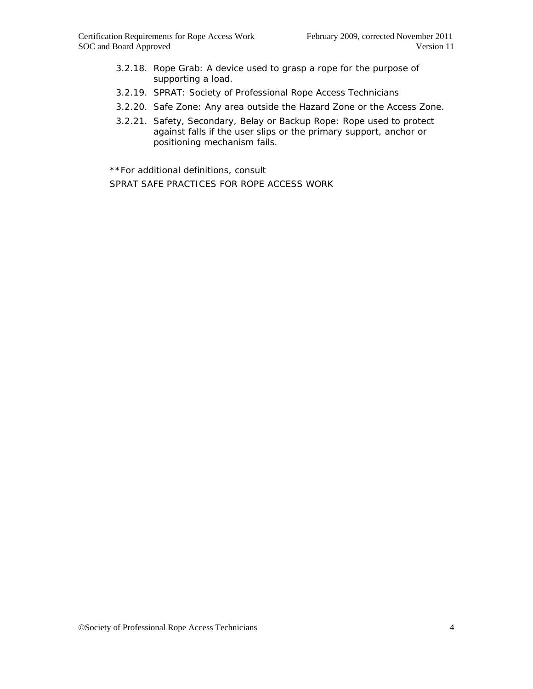- 3.2.18. Rope Grab: A device used to grasp a rope for the purpose of supporting a load.
- 3.2.19. SPRAT: Society of Professional Rope Access Technicians
- 3.2.20. Safe Zone: Any area outside the Hazard Zone or the Access Zone.
- 3.2.21. Safety, Secondary, Belay or Backup Rope: Rope used to protect against falls if the user slips or the primary support, anchor or positioning mechanism fails.

\*\*For additional definitions, consult

SPRAT SAFE PRACTICES FOR ROPE ACCESS WORK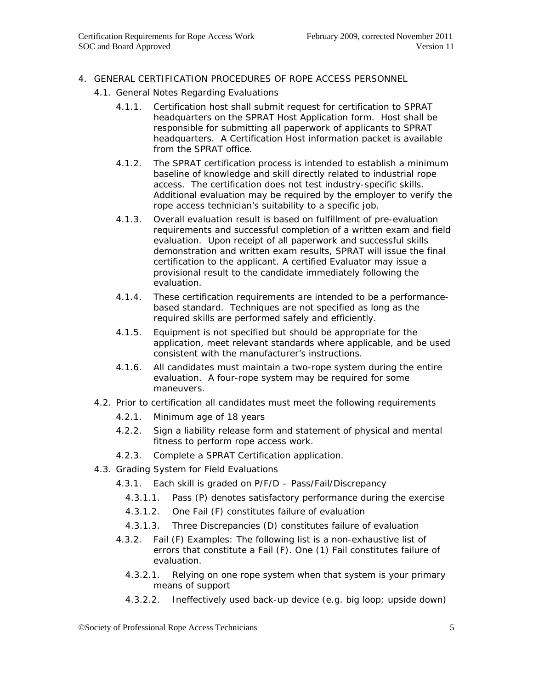#### 4. GENERAL CERTIFICATION PROCEDURES OF ROPE ACCESS PERSONNEL

- 4.1. General Notes Regarding Evaluations
	- 4.1.1. Certification host shall submit request for certification to SPRAT headquarters on the SPRAT Host Application form. Host shall be responsible for submitting all paperwork of applicants to SPRAT headquarters. A Certification Host information packet is available from the SPRAT office.
	- 4.1.2. The SPRAT certification process is intended to establish a minimum baseline of knowledge and skill directly related to industrial rope access. The certification does not test industry-specific skills. Additional evaluation may be required by the employer to verify the rope access technician's suitability to a specific job.
	- 4.1.3. Overall evaluation result is based on fulfillment of pre-evaluation requirements and successful completion of a written exam and field evaluation. Upon receipt of all paperwork and successful skills demonstration and written exam results, SPRAT will issue the final certification to the applicant. A certified Evaluator may issue a provisional result to the candidate immediately following the evaluation.
	- 4.1.4. These certification requirements are intended to be a performancebased standard. Techniques are not specified as long as the required skills are performed safely and efficiently.
	- 4.1.5. Equipment is not specified but should be appropriate for the application, meet relevant standards where applicable, and be used consistent with the manufacturer's instructions.
	- 4.1.6. All candidates must maintain a two-rope system during the entire evaluation. A four-rope system may be required for some maneuvers.
- 4.2. Prior to certification all candidates must meet the following requirements
	- 4.2.1. Minimum age of 18 years
	- 4.2.2. Sign a liability release form and statement of physical and mental fitness to perform rope access work.
	- 4.2.3. Complete a SPRAT Certification application.
- 4.3. Grading System for Field Evaluations
	- 4.3.1. Each skill is graded on P/F/D Pass/Fail/Discrepancy
		- 4.3.1.1. Pass (P) denotes satisfactory performance during the exercise
		- 4.3.1.2. One Fail (F) constitutes failure of evaluation
		- 4.3.1.3. Three Discrepancies (D) constitutes failure of evaluation
	- 4.3.2. Fail (F) Examples: The following list is a non-exhaustive list of errors that constitute a Fail (F). One (1) Fail constitutes failure of evaluation.
		- 4.3.2.1. Relying on one rope system when that system is your primary means of support
		- 4.3.2.2. Ineffectively used back-up device (e.g. big loop; upside down)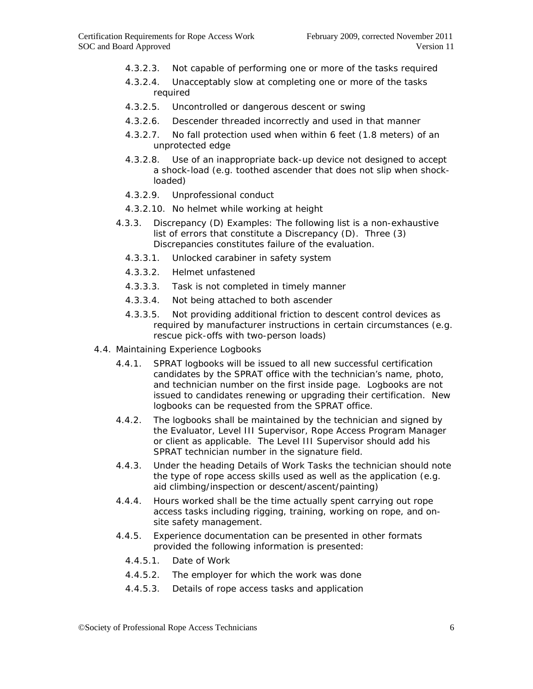- 4.3.2.3. Not capable of performing one or more of the tasks required
- 4.3.2.4. Unacceptably slow at completing one or more of the tasks required
- 4.3.2.5. Uncontrolled or dangerous descent or swing
- 4.3.2.6. Descender threaded incorrectly and used in that manner
- 4.3.2.7. No fall protection used when within 6 feet (1.8 meters) of an unprotected edge
- 4.3.2.8. Use of an inappropriate back-up device not designed to accept a shock-load (e.g. toothed ascender that does not slip when shockloaded)
- 4.3.2.9. Unprofessional conduct
- 4.3.2.10. No helmet while working at height
- 4.3.3. Discrepancy (D) Examples: The following list is a non-exhaustive list of errors that constitute a Discrepancy (D). Three (3) Discrepancies constitutes failure of the evaluation.
	- 4.3.3.1. Unlocked carabiner in safety system
	- 4.3.3.2. Helmet unfastened
	- 4.3.3.3. Task is not completed in timely manner
	- 4.3.3.4. Not being attached to both ascender
	- 4.3.3.5. Not providing additional friction to descent control devices as required by manufacturer instructions in certain circumstances (e.g. rescue pick-offs with two-person loads)
- 4.4. Maintaining Experience Logbooks
	- 4.4.1. SPRAT logbooks will be issued to all new successful certification candidates by the SPRAT office with the technician's name, photo, and technician number on the first inside page. Logbooks are not issued to candidates renewing or upgrading their certification. New logbooks can be requested from the SPRAT office.
	- 4.4.2. The logbooks shall be maintained by the technician and signed by the Evaluator, Level III Supervisor, Rope Access Program Manager or client as applicable. The Level III Supervisor should add his SPRAT technician number in the signature field.
	- 4.4.3. Under the heading *Details of Work Tasks* the technician should note the type of rope access skills used as well as the application (e.g. aid climbing/inspection or descent/ascent/painting)
	- 4.4.4. *Hours worked* shall be the time actually spent carrying out rope access tasks including rigging, training, working on rope, and onsite safety management.
	- 4.4.5. Experience documentation can be presented in other formats provided the following information is presented:
		- 4.4.5.1. Date of Work
		- 4.4.5.2. The employer for which the work was done
		- 4.4.5.3. Details of rope access tasks and application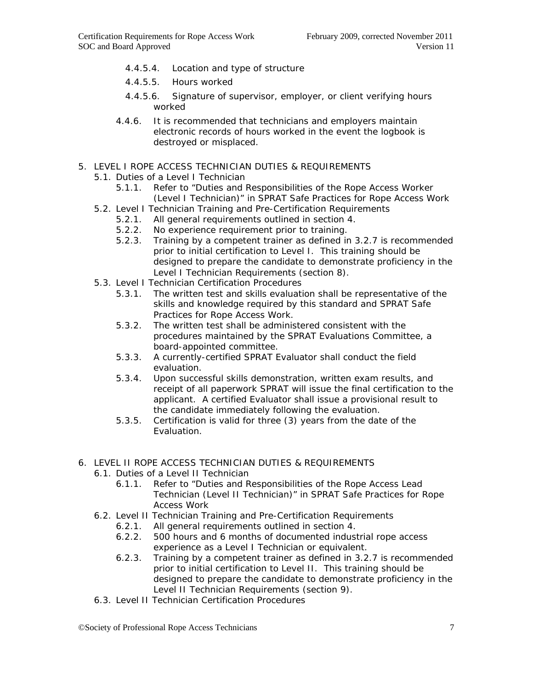- 4.4.5.4. Location and type of structure
- 4.4.5.5. Hours worked
- 4.4.5.6. Signature of supervisor, employer, or client verifying hours worked
- 4.4.6. It is recommended that technicians and employers maintain electronic records of hours worked in the event the logbook is destroyed or misplaced.

## 5. LEVEL I ROPE ACCESS TECHNICIAN DUTIES & REQUIREMENTS

- 5.1. Duties of a Level I Technician
	- 5.1.1. Refer to "Duties and Responsibilities of the Rope Access Worker (Level I Technician)" in SPRAT *Safe Practices for Rope Access Work*
- 5.2. Level I Technician Training and Pre-Certification Requirements
	- 5.2.1. All general requirements outlined in section 4.
	- 5.2.2. No experience requirement prior to training.
	- 5.2.3. Training by a competent trainer as defined in 3.2.7 is recommended prior to initial certification to Level I. This training should be designed to prepare the candidate to demonstrate proficiency in the Level I Technician Requirements (section 8).
- 5.3. Level I Technician Certification Procedures
	- 5.3.1. The written test and skills evaluation shall be representative of the skills and knowledge required by this standard and SPRAT *Safe Practices for Rope Access Work*.
	- 5.3.2. The written test shall be administered consistent with the procedures maintained by the SPRAT Evaluations Committee, a board-appointed committee.
	- 5.3.3. A currently-certified SPRAT Evaluator shall conduct the field evaluation.
	- 5.3.4. Upon successful skills demonstration, written exam results, and receipt of all paperwork SPRAT will issue the final certification to the applicant. A certified Evaluator shall issue a provisional result to the candidate immediately following the evaluation.
	- 5.3.5. Certification is valid for three (3) years from the date of the Evaluation.

# 6. LEVEL II ROPE ACCESS TECHNICIAN DUTIES & REQUIREMENTS

- 6.1. Duties of a Level II Technician
	- 6.1.1. Refer to "Duties and Responsibilities of the Rope Access Lead Technician (Level II Technician)" in SPRAT *Safe Practices for Rope Access Work*
- 6.2. Level II Technician Training and Pre-Certification Requirements
	- 6.2.1. All general requirements outlined in section 4.
	- 6.2.2. 500 hours and 6 months of documented industrial rope access experience as a Level I Technician or equivalent.
	- 6.2.3. Training by a competent trainer as defined in 3.2.7 is recommended prior to initial certification to Level II. This training should be designed to prepare the candidate to demonstrate proficiency in the Level II Technician Requirements (section 9).
- 6.3. Level II Technician Certification Procedures

©Society of Professional Rope Access Technicians 7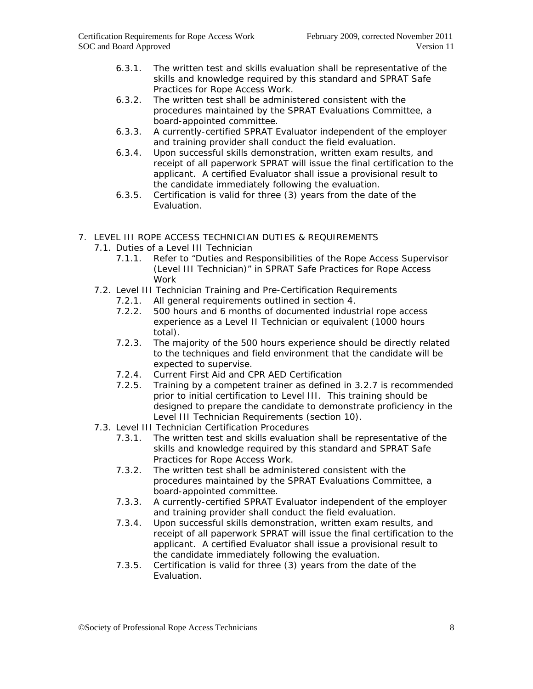- 6.3.1. The written test and skills evaluation shall be representative of the skills and knowledge required by this standard and SPRAT *Safe Practices for Rope Access Work*.
- 6.3.2. The written test shall be administered consistent with the procedures maintained by the SPRAT Evaluations Committee, a board-appointed committee.
- 6.3.3. A currently-certified SPRAT Evaluator independent of the employer and training provider shall conduct the field evaluation.
- 6.3.4. Upon successful skills demonstration, written exam results, and receipt of all paperwork SPRAT will issue the final certification to the applicant. A certified Evaluator shall issue a provisional result to the candidate immediately following the evaluation.
- 6.3.5. Certification is valid for three (3) years from the date of the Evaluation.

# 7. LEVEL III ROPE ACCESS TECHNICIAN DUTIES & REQUIREMENTS

- 7.1. Duties of a Level III Technician
	- 7.1.1. Refer to "Duties and Responsibilities of the Rope Access Supervisor (Level III Technician)" in SPRAT *Safe Practices for Rope Access Work*
- 7.2. Level III Technician Training and Pre-Certification Requirements
	- 7.2.1. All general requirements outlined in section 4.
	- 7.2.2. 500 hours and 6 months of documented industrial rope access experience as a Level II Technician or equivalent (1000 hours total).
	- 7.2.3. The majority of the 500 hours experience should be directly related to the techniques and field environment that the candidate will be expected to supervise.
	- 7.2.4. Current First Aid and CPR AED Certification
	- 7.2.5. Training by a competent trainer as defined in 3.2.7 is recommended prior to initial certification to Level III. This training should be designed to prepare the candidate to demonstrate proficiency in the Level III Technician Requirements (section 10).
- 7.3. Level III Technician Certification Procedures
	- 7.3.1. The written test and skills evaluation shall be representative of the skills and knowledge required by this standard and SPRAT *Safe Practices for Rope Access Work*.
	- 7.3.2. The written test shall be administered consistent with the procedures maintained by the SPRAT Evaluations Committee, a board-appointed committee.
	- 7.3.3. A currently-certified SPRAT Evaluator independent of the employer and training provider shall conduct the field evaluation.
	- 7.3.4. Upon successful skills demonstration, written exam results, and receipt of all paperwork SPRAT will issue the final certification to the applicant. A certified Evaluator shall issue a provisional result to the candidate immediately following the evaluation.
	- 7.3.5. Certification is valid for three (3) years from the date of the Evaluation.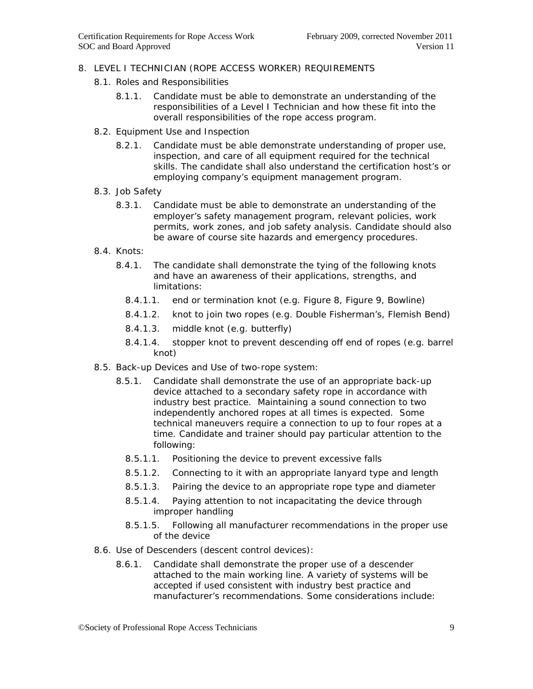#### 8. LEVEL I TECHNICIAN (ROPE ACCESS WORKER) REQUIREMENTS

- 8.1. Roles and Responsibilities
	- 8.1.1. Candidate must be able to demonstrate an understanding of the responsibilities of a Level I Technician and how these fit into the overall responsibilities of the rope access program.
- 8.2. Equipment Use and Inspection
	- 8.2.1. Candidate must be able demonstrate understanding of proper use, inspection, and care of all equipment required for the technical skills. The candidate shall also understand the certification host's or employing company's equipment management program.
- 8.3. Job Safety
	- 8.3.1. Candidate must be able to demonstrate an understanding of the employer's safety management program, relevant policies, work permits, work zones, and job safety analysis. Candidate should also be aware of course site hazards and emergency procedures.
- 8.4. Knots:
	- 8.4.1. The candidate shall demonstrate the tying of the following knots and have an awareness of their applications, strengths, and limitations:
		- 8.4.1.1. end or termination knot (e.g. Figure 8, Figure 9, Bowline)
		- 8.4.1.2. knot to join two ropes (e.g. Double Fisherman's, Flemish Bend)
		- 8.4.1.3. middle knot (e.g. butterfly)
		- 8.4.1.4. stopper knot to prevent descending off end of ropes (e.g. barrel knot)
- 8.5. Back-up Devices and Use of two-rope system:
	- 8.5.1. Candidate shall demonstrate the use of an appropriate back-up device attached to a secondary safety rope in accordance with industry best practice. Maintaining a sound connection to two independently anchored ropes at all times is expected. Some technical maneuvers require a connection to up to four ropes at a time. Candidate and trainer should pay particular attention to the following:
		- 8.5.1.1. Positioning the device to prevent excessive falls
		- 8.5.1.2. Connecting to it with an appropriate lanyard type and length
		- 8.5.1.3. Pairing the device to an appropriate rope type and diameter
		- 8.5.1.4. Paying attention to not incapacitating the device through improper handling
		- 8.5.1.5. Following all manufacturer recommendations in the proper use of the device
- 8.6. Use of Descenders (descent control devices):
	- 8.6.1. Candidate shall demonstrate the proper use of a descender attached to the main working line. A variety of systems will be accepted if used consistent with industry best practice and manufacturer's recommendations. Some considerations include: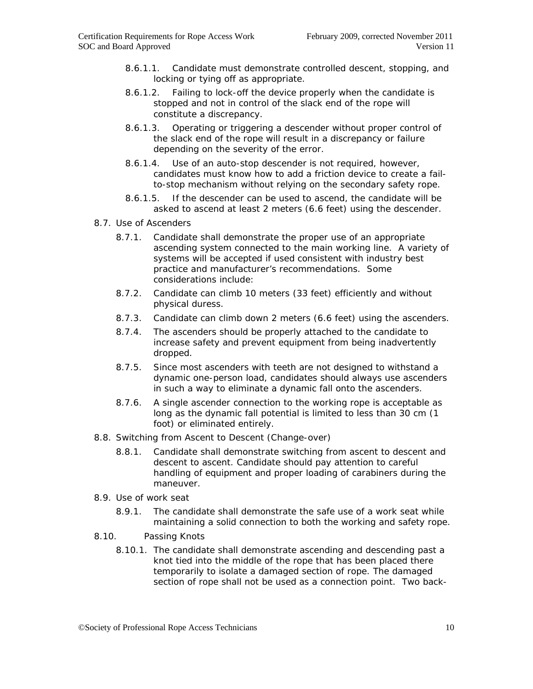- 8.6.1.1. Candidate must demonstrate controlled descent, stopping, and locking or tying off as appropriate.
- 8.6.1.2. Failing to lock-off the device properly when the candidate is stopped and not in control of the slack end of the rope will constitute a discrepancy.
- 8.6.1.3. Operating or triggering a descender without proper control of the slack end of the rope will result in a discrepancy or failure depending on the severity of the error.
- 8.6.1.4. Use of an auto-stop descender is not required, however, candidates must know how to add a friction device to create a failto-stop mechanism without relying on the secondary safety rope.
- 8.6.1.5. If the descender can be used to ascend, the candidate will be asked to ascend at least 2 meters (6.6 feet) using the descender.
- 8.7. Use of Ascenders
	- 8.7.1. Candidate shall demonstrate the proper use of an appropriate ascending system connected to the main working line. A variety of systems will be accepted if used consistent with industry best practice and manufacturer's recommendations. Some considerations include:
	- 8.7.2. Candidate can climb 10 meters (33 feet) efficiently and without physical duress.
	- 8.7.3. Candidate can climb down 2 meters (6.6 feet) using the ascenders.
	- 8.7.4. The ascenders should be properly attached to the candidate to increase safety and prevent equipment from being inadvertently dropped.
	- 8.7.5. Since most ascenders with teeth are not designed to withstand a dynamic one-person load, candidates should always use ascenders in such a way to eliminate a dynamic fall onto the ascenders.
	- 8.7.6. A single ascender connection to the working rope is acceptable as long as the dynamic fall potential is limited to less than 30 cm (1 foot) or eliminated entirely.
- 8.8. Switching from Ascent to Descent (Change-over)
	- 8.8.1. Candidate shall demonstrate switching from ascent to descent and descent to ascent. Candidate should pay attention to careful handling of equipment and proper loading of carabiners during the maneuver.
- 8.9. Use of work seat
	- 8.9.1. The candidate shall demonstrate the safe use of a work seat while maintaining a solid connection to both the working and safety rope.
- 8.10. Passing Knots
	- 8.10.1. The candidate shall demonstrate ascending and descending past a knot tied into the middle of the rope that has been placed there temporarily to isolate a damaged section of rope. The damaged section of rope shall not be used as a connection point. Two back-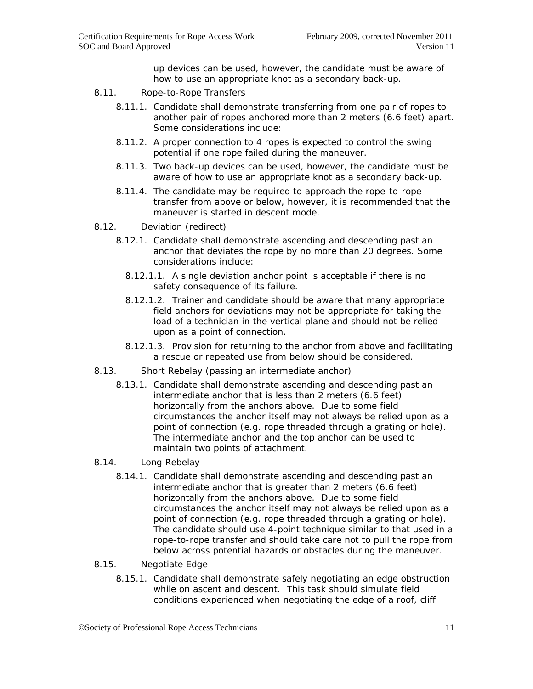up devices can be used, however, the candidate must be aware of how to use an appropriate knot as a secondary back-up.

- 8.11. Rope-to-Rope Transfers
	- 8.11.1. Candidate shall demonstrate transferring from one pair of ropes to another pair of ropes anchored more than 2 meters (6.6 feet) apart. Some considerations include:
	- 8.11.2. A proper connection to 4 ropes is expected to control the swing potential if one rope failed during the maneuver.
	- 8.11.3. Two back-up devices can be used, however, the candidate must be aware of how to use an appropriate knot as a secondary back-up.
	- 8.11.4. The candidate may be required to approach the rope-to-rope transfer from above or below, however, it is recommended that the maneuver is started in descent mode.
- 8.12. Deviation (redirect)
	- 8.12.1. Candidate shall demonstrate ascending and descending past an anchor that deviates the rope by no more than 20 degrees. Some considerations include:
		- 8.12.1.1. A single deviation anchor point is acceptable if there is no safety consequence of its failure.
		- 8.12.1.2. Trainer and candidate should be aware that many appropriate field anchors for deviations may not be appropriate for taking the load of a technician in the vertical plane and should not be relied upon as a point of connection.
		- 8.12.1.3. Provision for returning to the anchor from above and facilitating a rescue or repeated use from below should be considered.
- 8.13. Short Rebelay (passing an intermediate anchor)
	- 8.13.1. Candidate shall demonstrate ascending and descending past an intermediate anchor that is less than 2 meters (6.6 feet) horizontally from the anchors above. Due to some field circumstances the anchor itself may not always be relied upon as a point of connection (e.g. rope threaded through a grating or hole). The intermediate anchor and the top anchor can be used to maintain two points of attachment.
- 8.14. Long Rebelay
	- 8.14.1. Candidate shall demonstrate ascending and descending past an intermediate anchor that is greater than 2 meters (6.6 feet) horizontally from the anchors above. Due to some field circumstances the anchor itself may not always be relied upon as a point of connection (e.g. rope threaded through a grating or hole). The candidate should use 4-point technique similar to that used in a rope-to-rope transfer and should take care not to pull the rope from below across potential hazards or obstacles during the maneuver.
- 8.15. Negotiate Edge
	- 8.15.1. Candidate shall demonstrate safely negotiating an edge obstruction while on ascent and descent. This task should simulate field conditions experienced when negotiating the edge of a roof, cliff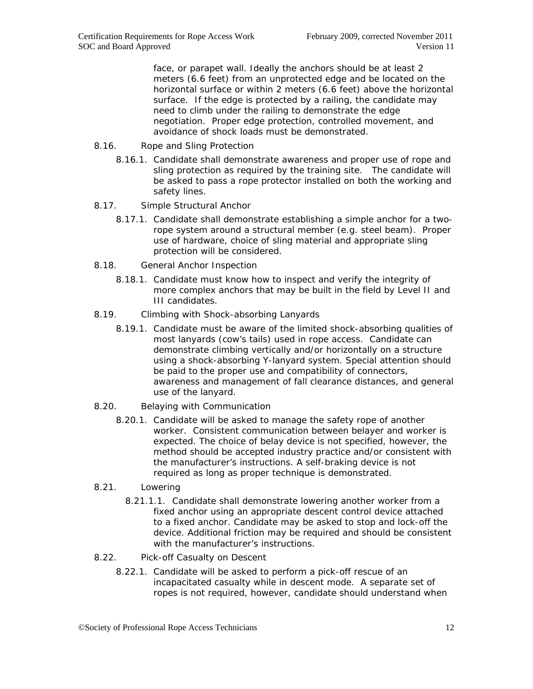face, or parapet wall. Ideally the anchors should be at least 2 meters (6.6 feet) from an unprotected edge and be located on the horizontal surface or within 2 meters (6.6 feet) above the horizontal surface. If the edge is protected by a railing, the candidate may need to climb under the railing to demonstrate the edge negotiation. Proper edge protection, controlled movement, and avoidance of shock loads must be demonstrated.

- 8.16. Rope and Sling Protection
	- 8.16.1. Candidate shall demonstrate awareness and proper use of rope and sling protection as required by the training site. The candidate will be asked to pass a rope protector installed on both the working and safety lines.
- 8.17. Simple Structural Anchor
	- 8.17.1. Candidate shall demonstrate establishing a simple anchor for a tworope system around a structural member (e.g. steel beam). Proper use of hardware, choice of sling material and appropriate sling protection will be considered.
- 8.18. General Anchor Inspection
	- 8.18.1. Candidate must know how to inspect and verify the integrity of more complex anchors that may be built in the field by Level II and III candidates.
- 8.19. Climbing with Shock-absorbing Lanyards
	- 8.19.1. Candidate must be aware of the limited shock-absorbing qualities of most lanyards (cow's tails) used in rope access. Candidate can demonstrate climbing vertically and/or horizontally on a structure using a shock-absorbing Y-lanyard system. Special attention should be paid to the proper use and compatibility of connectors, awareness and management of fall clearance distances, and general use of the lanyard.
- 8.20. Belaying with Communication
	- 8.20.1. Candidate will be asked to manage the safety rope of another worker. Consistent communication between belayer and worker is expected. The choice of belay device is not specified, however, the method should be accepted industry practice and/or consistent with the manufacturer's instructions. A self-braking device is not required as long as proper technique is demonstrated.
- 8.21. Lowering
	- 8.21.1.1. Candidate shall demonstrate lowering another worker from a fixed anchor using an appropriate descent control device attached to a fixed anchor. Candidate may be asked to stop and lock-off the device. Additional friction may be required and should be consistent with the manufacturer's instructions.
- 8.22. Pick-off Casualty on Descent
	- 8.22.1. Candidate will be asked to perform a pick-off rescue of an incapacitated casualty while in descent mode. A separate set of ropes is not required, however, candidate should understand when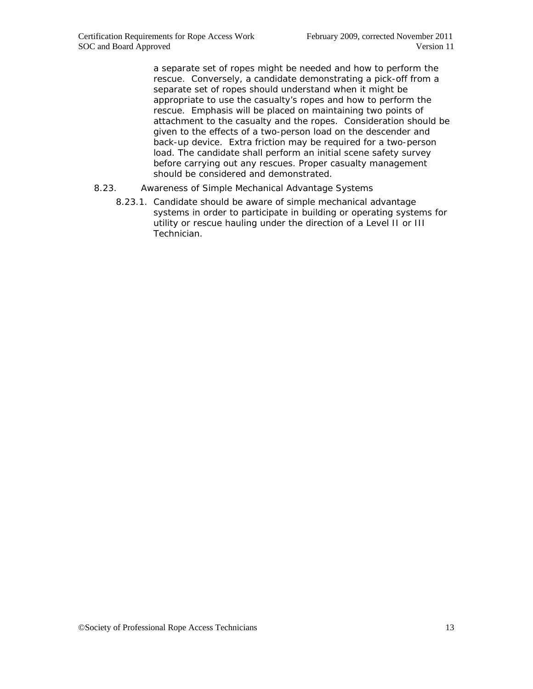a separate set of ropes might be needed and how to perform the rescue. Conversely, a candidate demonstrating a pick-off from a separate set of ropes should understand when it might be appropriate to use the casualty's ropes and how to perform the rescue. Emphasis will be placed on maintaining two points of attachment to the casualty and the ropes. Consideration should be given to the effects of a two-person load on the descender and back-up device. Extra friction may be required for a two-person load. The candidate shall perform an initial scene safety survey before carrying out any rescues. Proper casualty management should be considered and demonstrated.

- 8.23. Awareness of Simple Mechanical Advantage Systems
	- 8.23.1. Candidate should be aware of simple mechanical advantage systems in order to participate in building or operating systems for utility or rescue hauling under the direction of a Level II or III Technician.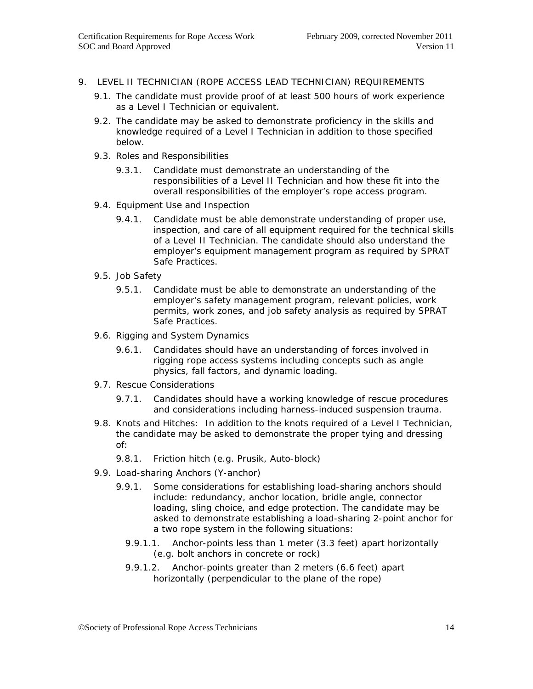- 9. LEVEL II TECHNICIAN (ROPE ACCESS LEAD TECHNICIAN) REQUIREMENTS
	- 9.1. The candidate must provide proof of at least 500 hours of work experience as a Level I Technician or equivalent.
	- 9.2. The candidate may be asked to demonstrate proficiency in the skills and knowledge required of a Level I Technician in addition to those specified below.
	- 9.3. Roles and Responsibilities
		- 9.3.1. Candidate must demonstrate an understanding of the responsibilities of a Level II Technician and how these fit into the overall responsibilities of the employer's rope access program.
	- 9.4. Equipment Use and Inspection
		- 9.4.1. Candidate must be able demonstrate understanding of proper use, inspection, and care of all equipment required for the technical skills of a Level II Technician. The candidate should also understand the employer's equipment management program as required by SPRAT *Safe Practices*.
	- 9.5. Job Safety
		- 9.5.1. Candidate must be able to demonstrate an understanding of the employer's safety management program, relevant policies, work permits, work zones, and job safety analysis as required by SPRAT *Safe Practices*.
	- 9.6. Rigging and System Dynamics
		- 9.6.1. Candidates should have an understanding of forces involved in rigging rope access systems including concepts such as angle physics, fall factors, and dynamic loading.
	- 9.7. Rescue Considerations
		- 9.7.1. Candidates should have a working knowledge of rescue procedures and considerations including harness-induced suspension trauma.
	- 9.8. Knots and Hitches: In addition to the knots required of a Level I Technician, the candidate may be asked to demonstrate the proper tying and dressing of:
		- 9.8.1. Friction hitch (e.g. Prusik, Auto-block)
	- 9.9. Load-sharing Anchors (Y-anchor)
		- 9.9.1. Some considerations for establishing load-sharing anchors should include: redundancy, anchor location, bridle angle, connector loading, sling choice, and edge protection. The candidate may be asked to demonstrate establishing a load-sharing 2-point anchor for a two rope system in the following situations:
			- 9.9.1.1. Anchor-points less than 1 meter (3.3 feet) apart horizontally (e.g. bolt anchors in concrete or rock)
			- 9.9.1.2. Anchor-points greater than 2 meters (6.6 feet) apart horizontally (perpendicular to the plane of the rope)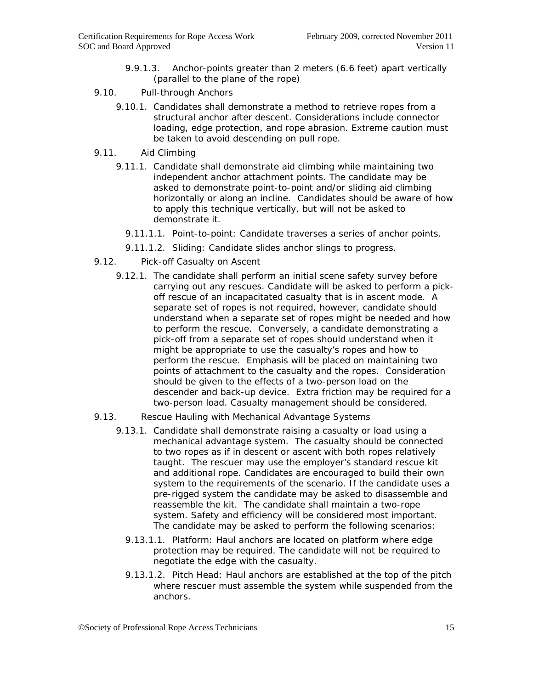- 9.9.1.3. Anchor-points greater than 2 meters (6.6 feet) apart vertically (parallel to the plane of the rope)
- 9.10. Pull-through Anchors
	- 9.10.1. Candidates shall demonstrate a method to retrieve ropes from a structural anchor after descent. Considerations include connector loading, edge protection, and rope abrasion. Extreme caution must be taken to avoid descending on pull rope.
- 9.11. Aid Climbing
	- 9.11.1. Candidate shall demonstrate aid climbing while maintaining two independent anchor attachment points. The candidate may be asked to demonstrate point-to-point and/or sliding aid climbing horizontally or along an incline. Candidates should be aware of how to apply this technique vertically, but will not be asked to demonstrate it.
		- 9.11.1.1. Point-to-point: Candidate traverses a series of anchor points.
		- 9.11.1.2. Sliding: Candidate slides anchor slings to progress.
- 9.12. Pick-off Casualty on Ascent
	- 9.12.1. The candidate shall perform an initial scene safety survey before carrying out any rescues. Candidate will be asked to perform a pickoff rescue of an incapacitated casualty that is in ascent mode. A separate set of ropes is not required, however, candidate should understand when a separate set of ropes might be needed and how to perform the rescue. Conversely, a candidate demonstrating a pick-off from a separate set of ropes should understand when it might be appropriate to use the casualty's ropes and how to perform the rescue. Emphasis will be placed on maintaining two points of attachment to the casualty and the ropes. Consideration should be given to the effects of a two-person load on the descender and back-up device. Extra friction may be required for a two-person load. Casualty management should be considered.
- 9.13. Rescue Hauling with Mechanical Advantage Systems
	- 9.13.1. Candidate shall demonstrate raising a casualty or load using a mechanical advantage system. The casualty should be connected to two ropes as if in descent or ascent with both ropes relatively taught. The rescuer may use the employer's standard rescue kit and additional rope. Candidates are encouraged to build their own system to the requirements of the scenario. If the candidate uses a pre-rigged system the candidate may be asked to disassemble and reassemble the kit. The candidate shall maintain a two-rope system. Safety and efficiency will be considered most important. The candidate may be asked to perform the following scenarios:
		- 9.13.1.1. Platform: Haul anchors are located on platform where edge protection may be required. The candidate will not be required to negotiate the edge with the casualty.
		- 9.13.1.2. Pitch Head: Haul anchors are established at the top of the pitch where rescuer must assemble the system while suspended from the anchors.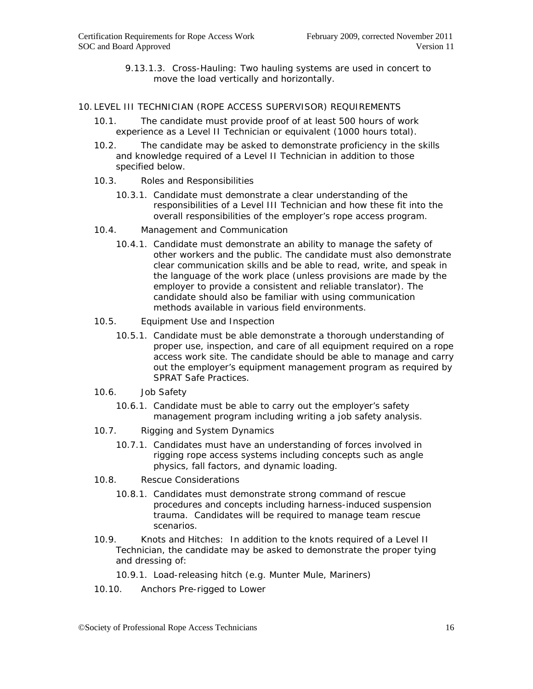9.13.1.3. Cross-Hauling: Two hauling systems are used in concert to move the load vertically and horizontally.

#### 10. LEVEL III TECHNICIAN (ROPE ACCESS SUPERVISOR) REQUIREMENTS

- 10.1. The candidate must provide proof of at least 500 hours of work experience as a Level II Technician or equivalent (1000 hours total).
- 10.2. The candidate may be asked to demonstrate proficiency in the skills and knowledge required of a Level II Technician in addition to those specified below.
- 10.3. Roles and Responsibilities
	- 10.3.1. Candidate must demonstrate a clear understanding of the responsibilities of a Level III Technician and how these fit into the overall responsibilities of the employer's rope access program.
- 10.4. Management and Communication
	- 10.4.1. Candidate must demonstrate an ability to manage the safety of other workers and the public. The candidate must also demonstrate clear communication skills and be able to read, write, and speak in the language of the work place (unless provisions are made by the employer to provide a consistent and reliable translator). The candidate should also be familiar with using communication methods available in various field environments.
- 10.5. Equipment Use and Inspection
	- 10.5.1. Candidate must be able demonstrate a thorough understanding of proper use, inspection, and care of all equipment required on a rope access work site. The candidate should be able to manage and carry out the employer's equipment management program as required by SPRAT *Safe Practices*.
- 10.6. Job Safety
	- 10.6.1. Candidate must be able to carry out the employer's safety management program including writing a job safety analysis.
- 10.7. Rigging and System Dynamics
	- 10.7.1. Candidates must have an understanding of forces involved in rigging rope access systems including concepts such as angle physics, fall factors, and dynamic loading.
- 10.8. Rescue Considerations
	- 10.8.1. Candidates must demonstrate strong command of rescue procedures and concepts including harness-induced suspension trauma. Candidates will be required to manage team rescue scenarios.
- 10.9. Knots and Hitches: In addition to the knots required of a Level II Technician, the candidate may be asked to demonstrate the proper tying and dressing of:

10.9.1. Load-releasing hitch (e.g. Munter Mule, Mariners)

10.10. Anchors Pre-rigged to Lower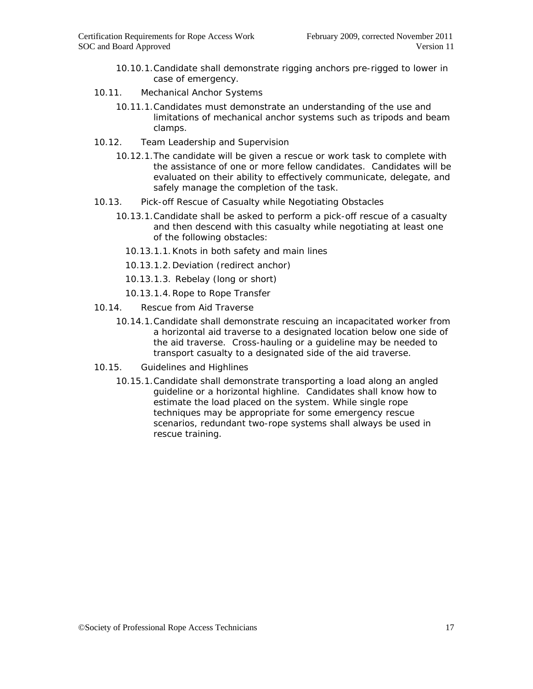- 10.10.1.Candidate shall demonstrate rigging anchors pre-rigged to lower in case of emergency.
- 10.11. Mechanical Anchor Systems
	- 10.11.1.Candidates must demonstrate an understanding of the use and limitations of mechanical anchor systems such as tripods and beam clamps.
- 10.12. Team Leadership and Supervision
	- 10.12.1.The candidate will be given a rescue or work task to complete with the assistance of one or more fellow candidates. Candidates will be evaluated on their ability to effectively communicate, delegate, and safely manage the completion of the task.
- 10.13. Pick-off Rescue of Casualty while Negotiating Obstacles
	- 10.13.1.Candidate shall be asked to perform a pick-off rescue of a casualty and then descend with this casualty while negotiating at least one of the following obstacles:
		- 10.13.1.1.Knots in both safety and main lines
		- 10.13.1.2.Deviation (redirect anchor)
		- 10.13.1.3. Rebelay (long or short)
		- 10.13.1.4.Rope to Rope Transfer
- 10.14. Rescue from Aid Traverse
	- 10.14.1.Candidate shall demonstrate rescuing an incapacitated worker from a horizontal aid traverse to a designated location below one side of the aid traverse. Cross-hauling or a guideline may be needed to transport casualty to a designated side of the aid traverse.
- 10.15. Guidelines and Highlines
	- 10.15.1.Candidate shall demonstrate transporting a load along an angled guideline or a horizontal highline. Candidates shall know how to estimate the load placed on the system. While single rope techniques may be appropriate for some emergency rescue scenarios, redundant two-rope systems shall always be used in rescue training.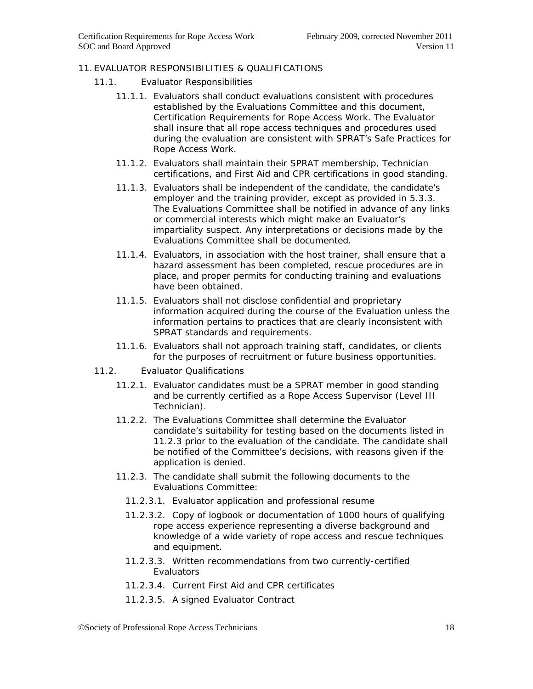#### 11. EVALUATOR RESPONSIBILITIES & QUALIFICATIONS

- 11.1. Evaluator Responsibilities
	- 11.1.1. Evaluators shall conduct evaluations consistent with procedures established by the Evaluations Committee and this document, *Certification Requirements for Rope Access Work.* The Evaluator shall insure that all rope access techniques and procedures used during the evaluation are consistent with SPRAT's *Safe Practices for Rope Access Work.*
	- 11.1.2. Evaluators shall maintain their SPRAT membership, Technician certifications, and First Aid and CPR certifications in good standing.
	- 11.1.3. Evaluators shall be independent of the candidate, the candidate's employer and the training provider, except as provided in 5.3.3. The Evaluations Committee shall be notified in advance of any links or commercial interests which might make an Evaluator's impartiality suspect. Any interpretations or decisions made by the Evaluations Committee shall be documented.
	- 11.1.4. Evaluators, in association with the host trainer, shall ensure that a hazard assessment has been completed, rescue procedures are in place, and proper permits for conducting training and evaluations have been obtained.
	- 11.1.5. Evaluators shall not disclose confidential and proprietary information acquired during the course of the Evaluation unless the information pertains to practices that are clearly inconsistent with SPRAT standards and requirements.
	- 11.1.6. Evaluators shall not approach training staff, candidates, or clients for the purposes of recruitment or future business opportunities.
- 11.2. Evaluator Qualifications
	- 11.2.1. Evaluator candidates must be a SPRAT member in good standing and be currently certified as a Rope Access Supervisor (Level III Technician).
	- 11.2.2. The Evaluations Committee shall determine the Evaluator candidate's suitability for testing based on the documents listed in 11.2.3 prior to the evaluation of the candidate. The candidate shall be notified of the Committee's decisions, with reasons given if the application is denied.
	- 11.2.3. The candidate shall submit the following documents to the Evaluations Committee:
		- 11.2.3.1. Evaluator application and professional resume
		- 11.2.3.2. Copy of logbook or documentation of 1000 hours of qualifying rope access experience representing a diverse background and knowledge of a wide variety of rope access and rescue techniques and equipment.
		- 11.2.3.3. Written recommendations from two currently-certified **Evaluators**
		- 11.2.3.4. Current First Aid and CPR certificates
		- 11.2.3.5. A signed Evaluator Contract